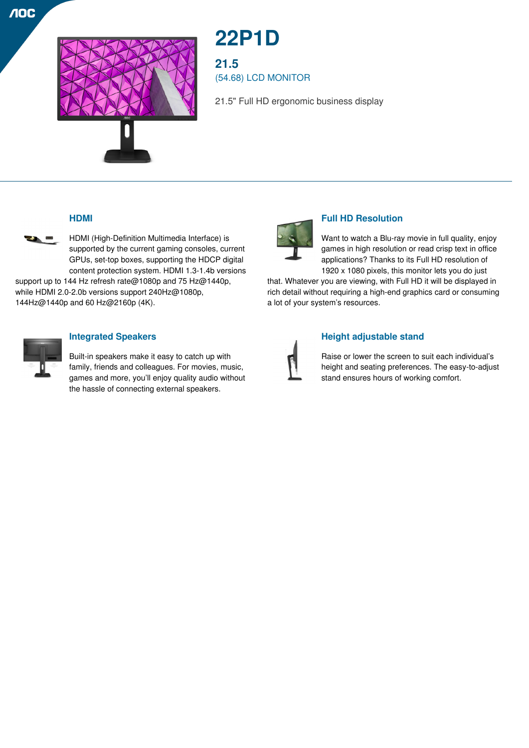

# **22P1D**

**21.5** (54.68) LCD MONITOR

21.5" Full HD ergonomic business display

# **HDMI**



**NOC** 

HDMI (High-Definition Multimedia Interface) is supported by the current gaming consoles, current GPUs, set-top boxes, supporting the HDCP digital content protection system. HDMI 1.3-1.4b versions

support up to 144 Hz refresh rate@1080p and 75 Hz@1440p, while HDMI 2.0-2.0b versions support 240Hz@1080p, 144Hz@1440p and 60 Hz@2160p (4K).



## **Integrated Speakers**

Built-in speakers make it easy to catch up with family, friends and colleagues. For movies, music, games and more, you'll enjoy quality audio without the hassle of connecting external speakers.



# **Full HD Resolution**

Want to watch a Blu-ray movie in full quality, enjoy games in high resolution or read crisp text in office applications? Thanks to its Full HD resolution of 1920 x 1080 pixels, this monitor lets you do just

that. Whatever you are viewing, with Full HD it will be displayed in rich detail without requiring a high-end graphics card or consuming a lot of your system's resources.



## **Height adjustable stand**

Raise or lower the screen to suit each individual's height and seating preferences. The easy-to-adjust stand ensures hours of working comfort.